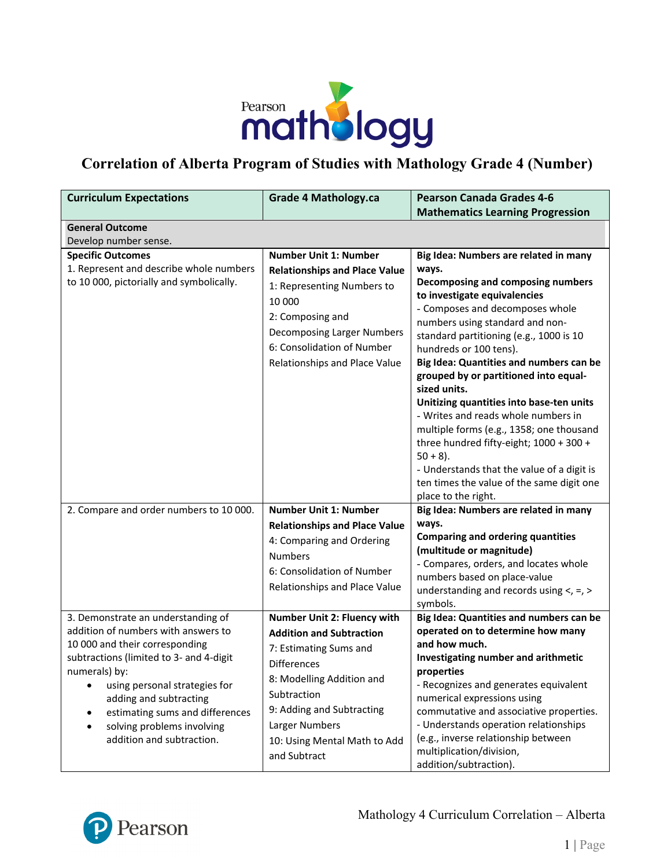

#### **Correlation of Alberta Program of Studies with Mathology Grade 4 (Number)**

| <b>Curriculum Expectations</b>                                                                                                                                                                                                                                                             | <b>Grade 4 Mathology.ca</b>                                                                                                                                                                                                | <b>Pearson Canada Grades 4-6</b><br><b>Mathematics Learning Progression</b>                                                                                                                                                                                                                                                                                      |
|--------------------------------------------------------------------------------------------------------------------------------------------------------------------------------------------------------------------------------------------------------------------------------------------|----------------------------------------------------------------------------------------------------------------------------------------------------------------------------------------------------------------------------|------------------------------------------------------------------------------------------------------------------------------------------------------------------------------------------------------------------------------------------------------------------------------------------------------------------------------------------------------------------|
| <b>General Outcome</b>                                                                                                                                                                                                                                                                     |                                                                                                                                                                                                                            |                                                                                                                                                                                                                                                                                                                                                                  |
| Develop number sense.                                                                                                                                                                                                                                                                      |                                                                                                                                                                                                                            |                                                                                                                                                                                                                                                                                                                                                                  |
| <b>Specific Outcomes</b><br>1. Represent and describe whole numbers<br>to 10 000, pictorially and symbolically.                                                                                                                                                                            | <b>Number Unit 1: Number</b><br><b>Relationships and Place Value</b><br>1: Representing Numbers to<br>10 000                                                                                                               | Big Idea: Numbers are related in many<br>ways.<br>Decomposing and composing numbers<br>to investigate equivalencies                                                                                                                                                                                                                                              |
|                                                                                                                                                                                                                                                                                            | 2: Composing and<br>Decomposing Larger Numbers<br>6: Consolidation of Number<br>Relationships and Place Value                                                                                                              | - Composes and decomposes whole<br>numbers using standard and non-<br>standard partitioning (e.g., 1000 is 10<br>hundreds or 100 tens).<br>Big Idea: Quantities and numbers can be<br>grouped by or partitioned into equal-                                                                                                                                      |
|                                                                                                                                                                                                                                                                                            |                                                                                                                                                                                                                            | sized units.<br>Unitizing quantities into base-ten units<br>- Writes and reads whole numbers in<br>multiple forms (e.g., 1358; one thousand<br>three hundred fifty-eight; 1000 + 300 +<br>$50 + 8$ ).<br>- Understands that the value of a digit is<br>ten times the value of the same digit one<br>place to the right.                                          |
| 2. Compare and order numbers to 10 000.                                                                                                                                                                                                                                                    | <b>Number Unit 1: Number</b>                                                                                                                                                                                               | Big Idea: Numbers are related in many                                                                                                                                                                                                                                                                                                                            |
|                                                                                                                                                                                                                                                                                            | <b>Relationships and Place Value</b>                                                                                                                                                                                       | ways.                                                                                                                                                                                                                                                                                                                                                            |
|                                                                                                                                                                                                                                                                                            | 4: Comparing and Ordering<br><b>Numbers</b><br>6: Consolidation of Number<br>Relationships and Place Value                                                                                                                 | <b>Comparing and ordering quantities</b><br>(multitude or magnitude)<br>- Compares, orders, and locates whole<br>numbers based on place-value<br>understanding and records using $\lt$ , =, ><br>symbols.                                                                                                                                                        |
| 3. Demonstrate an understanding of                                                                                                                                                                                                                                                         | Number Unit 2: Fluency with                                                                                                                                                                                                | Big Idea: Quantities and numbers can be                                                                                                                                                                                                                                                                                                                          |
| addition of numbers with answers to<br>10 000 and their corresponding<br>subtractions (limited to 3- and 4-digit<br>numerals) by:<br>using personal strategies for<br>adding and subtracting<br>estimating sums and differences<br>solving problems involving<br>addition and subtraction. | <b>Addition and Subtraction</b><br>7: Estimating Sums and<br><b>Differences</b><br>8: Modelling Addition and<br>Subtraction<br>9: Adding and Subtracting<br>Larger Numbers<br>10: Using Mental Math to Add<br>and Subtract | operated on to determine how many<br>and how much.<br>Investigating number and arithmetic<br>properties<br>- Recognizes and generates equivalent<br>numerical expressions using<br>commutative and associative properties.<br>- Understands operation relationships<br>(e.g., inverse relationship between<br>multiplication/division,<br>addition/subtraction). |

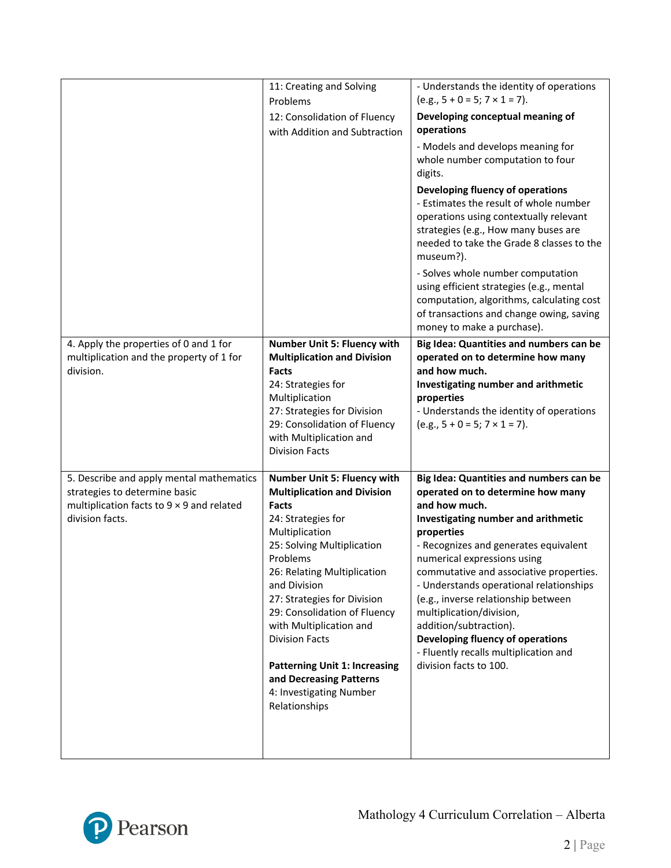|                                                                                                                                                  | 11: Creating and Solving<br>Problems<br>12: Consolidation of Fluency<br>with Addition and Subtraction                                                                                                                                                                                                                                                                                                                                         | - Understands the identity of operations<br>$(e.g., 5 + 0 = 5; 7 \times 1 = 7).$<br>Developing conceptual meaning of<br>operations<br>- Models and develops meaning for                                                                                                                                                                                                                                                                                                                                              |
|--------------------------------------------------------------------------------------------------------------------------------------------------|-----------------------------------------------------------------------------------------------------------------------------------------------------------------------------------------------------------------------------------------------------------------------------------------------------------------------------------------------------------------------------------------------------------------------------------------------|----------------------------------------------------------------------------------------------------------------------------------------------------------------------------------------------------------------------------------------------------------------------------------------------------------------------------------------------------------------------------------------------------------------------------------------------------------------------------------------------------------------------|
|                                                                                                                                                  |                                                                                                                                                                                                                                                                                                                                                                                                                                               | whole number computation to four<br>digits.<br>Developing fluency of operations<br>- Estimates the result of whole number<br>operations using contextually relevant<br>strategies (e.g., How many buses are<br>needed to take the Grade 8 classes to the<br>museum?).                                                                                                                                                                                                                                                |
|                                                                                                                                                  |                                                                                                                                                                                                                                                                                                                                                                                                                                               | - Solves whole number computation<br>using efficient strategies (e.g., mental<br>computation, algorithms, calculating cost<br>of transactions and change owing, saving<br>money to make a purchase).                                                                                                                                                                                                                                                                                                                 |
| 4. Apply the properties of 0 and 1 for<br>multiplication and the property of 1 for<br>division.                                                  | Number Unit 5: Fluency with<br><b>Multiplication and Division</b><br>Facts<br>24: Strategies for<br>Multiplication<br>27: Strategies for Division<br>29: Consolidation of Fluency<br>with Multiplication and<br><b>Division Facts</b>                                                                                                                                                                                                         | Big Idea: Quantities and numbers can be<br>operated on to determine how many<br>and how much.<br>Investigating number and arithmetic<br>properties<br>- Understands the identity of operations<br>$(e.g., 5 + 0 = 5; 7 \times 1 = 7).$                                                                                                                                                                                                                                                                               |
| 5. Describe and apply mental mathematics<br>strategies to determine basic<br>multiplication facts to $9 \times 9$ and related<br>division facts. | Number Unit 5: Fluency with<br><b>Multiplication and Division</b><br>Facts<br>24: Strategies for<br>Multiplication<br>25: Solving Multiplication<br>Problems<br>26: Relating Multiplication<br>and Division<br>27: Strategies for Division<br>29: Consolidation of Fluency<br>with Multiplication and<br><b>Division Facts</b><br><b>Patterning Unit 1: Increasing</b><br>and Decreasing Patterns<br>4: Investigating Number<br>Relationships | Big Idea: Quantities and numbers can be<br>operated on to determine how many<br>and how much.<br>Investigating number and arithmetic<br>properties<br>- Recognizes and generates equivalent<br>numerical expressions using<br>commutative and associative properties.<br>- Understands operational relationships<br>(e.g., inverse relationship between<br>multiplication/division,<br>addition/subtraction).<br>Developing fluency of operations<br>- Fluently recalls multiplication and<br>division facts to 100. |

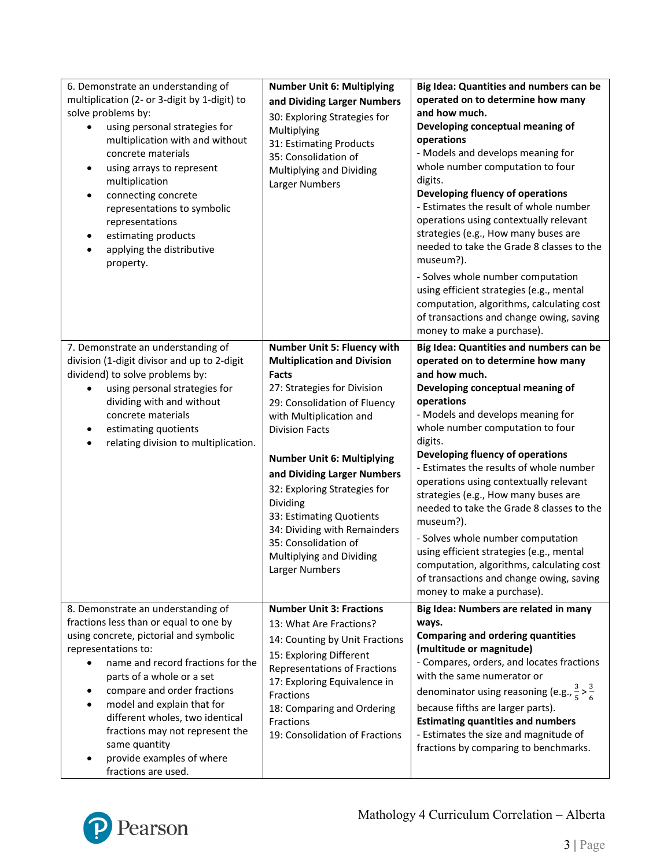| 6. Demonstrate an understanding of<br>multiplication (2- or 3-digit by 1-digit) to<br>solve problems by:<br>using personal strategies for<br>multiplication with and without<br>concrete materials<br>using arrays to represent<br>$\bullet$<br>multiplication<br>connecting concrete<br>representations to symbolic<br>representations<br>estimating products<br>applying the distributive<br>property.                | <b>Number Unit 6: Multiplying</b><br>and Dividing Larger Numbers<br>30: Exploring Strategies for<br>Multiplying<br>31: Estimating Products<br>35: Consolidation of<br>Multiplying and Dividing<br>Larger Numbers                                                                                                                                                                                                                                       | Big Idea: Quantities and numbers can be<br>operated on to determine how many<br>and how much.<br>Developing conceptual meaning of<br>operations<br>- Models and develops meaning for<br>whole number computation to four<br>digits.<br>Developing fluency of operations<br>- Estimates the result of whole number<br>operations using contextually relevant<br>strategies (e.g., How many buses are<br>needed to take the Grade 8 classes to the<br>museum?).<br>- Solves whole number computation<br>using efficient strategies (e.g., mental<br>computation, algorithms, calculating cost<br>of transactions and change owing, saving<br>money to make a purchase).  |
|-------------------------------------------------------------------------------------------------------------------------------------------------------------------------------------------------------------------------------------------------------------------------------------------------------------------------------------------------------------------------------------------------------------------------|--------------------------------------------------------------------------------------------------------------------------------------------------------------------------------------------------------------------------------------------------------------------------------------------------------------------------------------------------------------------------------------------------------------------------------------------------------|------------------------------------------------------------------------------------------------------------------------------------------------------------------------------------------------------------------------------------------------------------------------------------------------------------------------------------------------------------------------------------------------------------------------------------------------------------------------------------------------------------------------------------------------------------------------------------------------------------------------------------------------------------------------|
| 7. Demonstrate an understanding of<br>division (1-digit divisor and up to 2-digit<br>dividend) to solve problems by:<br>using personal strategies for<br>dividing with and without<br>concrete materials<br>estimating quotients<br>relating division to multiplication.                                                                                                                                                | Number Unit 5: Fluency with<br><b>Multiplication and Division</b><br><b>Facts</b><br>27: Strategies for Division<br>29: Consolidation of Fluency<br>with Multiplication and<br><b>Division Facts</b><br><b>Number Unit 6: Multiplying</b><br>and Dividing Larger Numbers<br>32: Exploring Strategies for<br>Dividing<br>33: Estimating Quotients<br>34: Dividing with Remainders<br>35: Consolidation of<br>Multiplying and Dividing<br>Larger Numbers | Big Idea: Quantities and numbers can be<br>operated on to determine how many<br>and how much.<br>Developing conceptual meaning of<br>operations<br>- Models and develops meaning for<br>whole number computation to four<br>digits.<br>Developing fluency of operations<br>- Estimates the results of whole number<br>operations using contextually relevant<br>strategies (e.g., How many buses are<br>needed to take the Grade 8 classes to the<br>museum?).<br>- Solves whole number computation<br>using efficient strategies (e.g., mental<br>computation, algorithms, calculating cost<br>of transactions and change owing, saving<br>money to make a purchase). |
| 8. Demonstrate an understanding of<br>fractions less than or equal to one by<br>using concrete, pictorial and symbolic<br>representations to:<br>name and record fractions for the<br>parts of a whole or a set<br>compare and order fractions<br>model and explain that for<br>different wholes, two identical<br>fractions may not represent the<br>same quantity<br>provide examples of where<br>fractions are used. | <b>Number Unit 3: Fractions</b><br>13: What Are Fractions?<br>14: Counting by Unit Fractions<br>15: Exploring Different<br>Representations of Fractions<br>17: Exploring Equivalence in<br>Fractions<br>18: Comparing and Ordering<br>Fractions<br>19: Consolidation of Fractions                                                                                                                                                                      | Big Idea: Numbers are related in many<br>ways.<br><b>Comparing and ordering quantities</b><br>(multitude or magnitude)<br>- Compares, orders, and locates fractions<br>with the same numerator or<br>denominator using reasoning (e.g., $\frac{3}{5} > \frac{3}{6}$<br>because fifths are larger parts).<br><b>Estimating quantities and numbers</b><br>- Estimates the size and magnitude of<br>fractions by comparing to benchmarks.                                                                                                                                                                                                                                 |

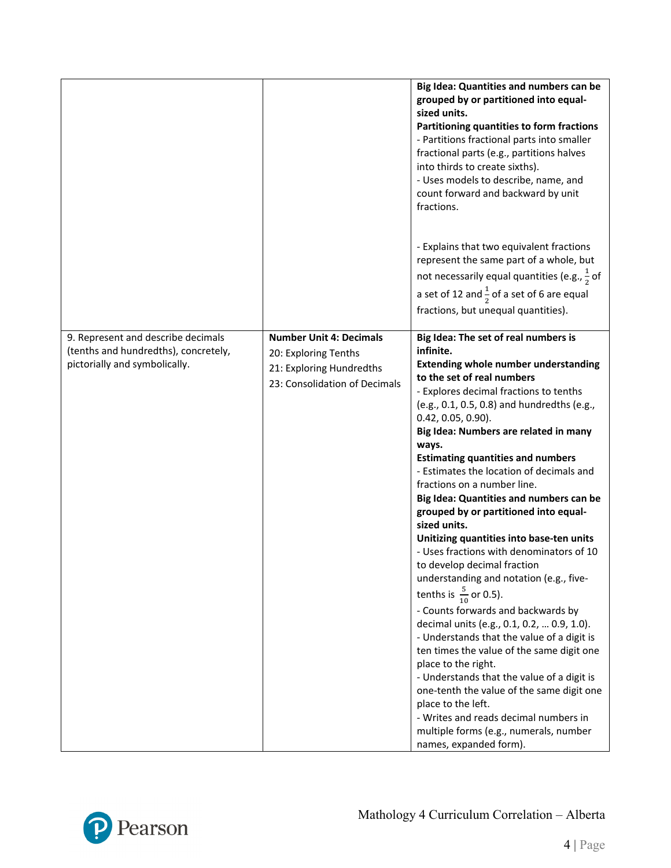|                                                                                                             |                                                                                                                     | Big Idea: Quantities and numbers can be<br>grouped by or partitioned into equal-<br>sized units.<br>Partitioning quantities to form fractions<br>- Partitions fractional parts into smaller<br>fractional parts (e.g., partitions halves<br>into thirds to create sixths).<br>- Uses models to describe, name, and<br>count forward and backward by unit<br>fractions.<br>- Explains that two equivalent fractions<br>represent the same part of a whole, but<br>not necessarily equal quantities (e.g., $\frac{1}{2}$ of<br>a set of 12 and $\frac{1}{2}$ of a set of 6 are equal<br>fractions, but unequal quantities).                                                                                                                                                                                                                                                                                                                                                                                                                                                                                                                                                |
|-------------------------------------------------------------------------------------------------------------|---------------------------------------------------------------------------------------------------------------------|--------------------------------------------------------------------------------------------------------------------------------------------------------------------------------------------------------------------------------------------------------------------------------------------------------------------------------------------------------------------------------------------------------------------------------------------------------------------------------------------------------------------------------------------------------------------------------------------------------------------------------------------------------------------------------------------------------------------------------------------------------------------------------------------------------------------------------------------------------------------------------------------------------------------------------------------------------------------------------------------------------------------------------------------------------------------------------------------------------------------------------------------------------------------------|
| 9. Represent and describe decimals<br>(tenths and hundredths), concretely,<br>pictorially and symbolically. | <b>Number Unit 4: Decimals</b><br>20: Exploring Tenths<br>21: Exploring Hundredths<br>23: Consolidation of Decimals | Big Idea: The set of real numbers is<br>infinite.<br><b>Extending whole number understanding</b><br>to the set of real numbers<br>- Explores decimal fractions to tenths<br>(e.g., 0.1, 0.5, 0.8) and hundredths (e.g.,<br>$0.42, 0.05, 0.90$ ).<br>Big Idea: Numbers are related in many<br>ways.<br><b>Estimating quantities and numbers</b><br>- Estimates the location of decimals and<br>fractions on a number line.<br>Big Idea: Quantities and numbers can be<br>grouped by or partitioned into equal-<br>sized units.<br>Unitizing quantities into base-ten units<br>- Uses fractions with denominators of 10<br>to develop decimal fraction<br>understanding and notation (e.g., five-<br>tenths is $\frac{5}{10}$ or 0.5).<br>- Counts forwards and backwards by<br>decimal units (e.g., 0.1, 0.2,  0.9, 1.0).<br>- Understands that the value of a digit is<br>ten times the value of the same digit one<br>place to the right.<br>- Understands that the value of a digit is<br>one-tenth the value of the same digit one<br>place to the left.<br>- Writes and reads decimal numbers in<br>multiple forms (e.g., numerals, number<br>names, expanded form). |

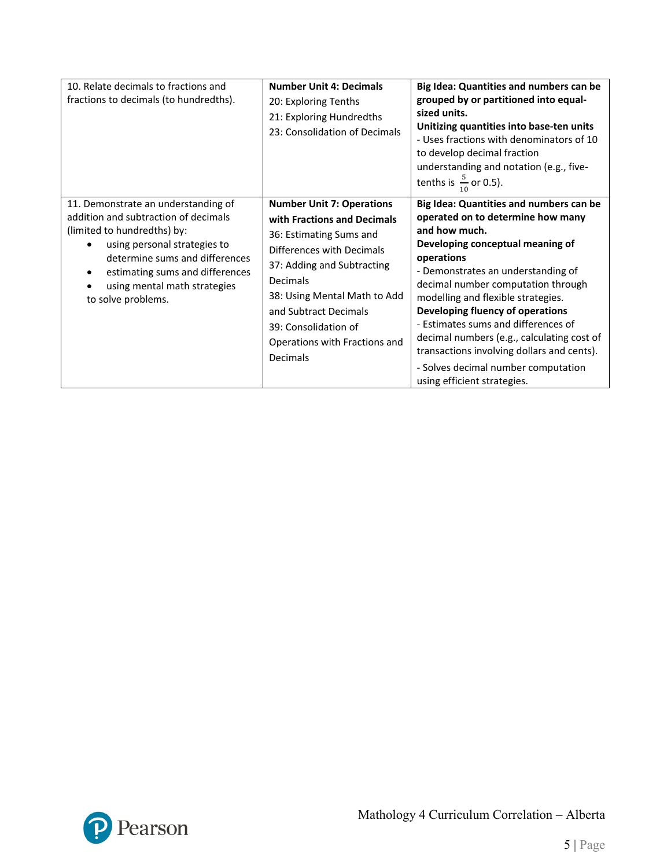| 10. Relate decimals to fractions and<br>fractions to decimals (to hundredths).                                                                                                                                                                                        | <b>Number Unit 4: Decimals</b><br>20: Exploring Tenths<br>21: Exploring Hundredths<br>23: Consolidation of Decimals                                                                                                                                                                             | Big Idea: Quantities and numbers can be<br>grouped by or partitioned into equal-<br>sized units.<br>Unitizing quantities into base-ten units<br>- Uses fractions with denominators of 10<br>to develop decimal fraction<br>understanding and notation (e.g., five-<br>tenths is $\frac{5}{10}$ or 0.5).                                                                                                                                                                                                        |
|-----------------------------------------------------------------------------------------------------------------------------------------------------------------------------------------------------------------------------------------------------------------------|-------------------------------------------------------------------------------------------------------------------------------------------------------------------------------------------------------------------------------------------------------------------------------------------------|----------------------------------------------------------------------------------------------------------------------------------------------------------------------------------------------------------------------------------------------------------------------------------------------------------------------------------------------------------------------------------------------------------------------------------------------------------------------------------------------------------------|
| 11. Demonstrate an understanding of<br>addition and subtraction of decimals<br>(limited to hundredths) by:<br>using personal strategies to<br>determine sums and differences<br>estimating sums and differences<br>using mental math strategies<br>to solve problems. | <b>Number Unit 7: Operations</b><br>with Fractions and Decimals<br>36: Estimating Sums and<br>Differences with Decimals<br>37: Adding and Subtracting<br>Decimals<br>38: Using Mental Math to Add<br>and Subtract Decimals<br>39: Consolidation of<br>Operations with Fractions and<br>Decimals | Big Idea: Quantities and numbers can be<br>operated on to determine how many<br>and how much.<br>Developing conceptual meaning of<br>operations<br>- Demonstrates an understanding of<br>decimal number computation through<br>modelling and flexible strategies.<br>Developing fluency of operations<br>- Estimates sums and differences of<br>decimal numbers (e.g., calculating cost of<br>transactions involving dollars and cents).<br>- Solves decimal number computation<br>using efficient strategies. |

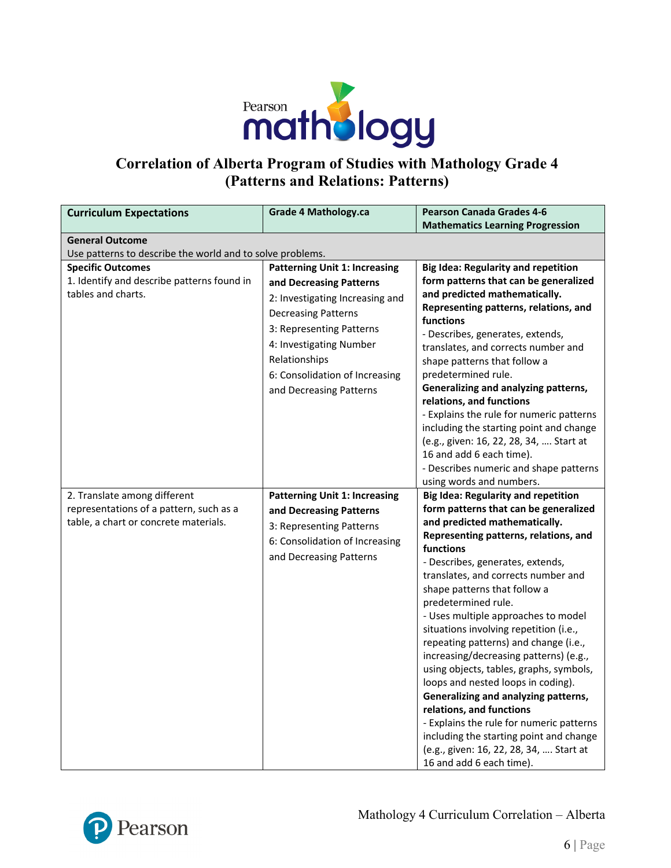

# **Correlation of Alberta Program of Studies with Mathology Grade 4 (Patterns and Relations: Patterns)**

| <b>Curriculum Expectations</b>                                                      | <b>Grade 4 Mathology.ca</b>                                                                                                                                                                                                   | <b>Pearson Canada Grades 4-6</b>                                                                                                                                                                                                                                                                                                                                                                                                                                                                                                                                                                                                                                                                             |
|-------------------------------------------------------------------------------------|-------------------------------------------------------------------------------------------------------------------------------------------------------------------------------------------------------------------------------|--------------------------------------------------------------------------------------------------------------------------------------------------------------------------------------------------------------------------------------------------------------------------------------------------------------------------------------------------------------------------------------------------------------------------------------------------------------------------------------------------------------------------------------------------------------------------------------------------------------------------------------------------------------------------------------------------------------|
|                                                                                     |                                                                                                                                                                                                                               | <b>Mathematics Learning Progression</b>                                                                                                                                                                                                                                                                                                                                                                                                                                                                                                                                                                                                                                                                      |
| <b>General Outcome</b><br>Use patterns to describe the world and to solve problems. |                                                                                                                                                                                                                               |                                                                                                                                                                                                                                                                                                                                                                                                                                                                                                                                                                                                                                                                                                              |
| <b>Specific Outcomes</b>                                                            | <b>Patterning Unit 1: Increasing</b>                                                                                                                                                                                          | <b>Big Idea: Regularity and repetition</b>                                                                                                                                                                                                                                                                                                                                                                                                                                                                                                                                                                                                                                                                   |
| 1. Identify and describe patterns found in<br>tables and charts.                    | and Decreasing Patterns<br>2: Investigating Increasing and<br><b>Decreasing Patterns</b><br>3: Representing Patterns<br>4: Investigating Number<br>Relationships<br>6: Consolidation of Increasing<br>and Decreasing Patterns | form patterns that can be generalized<br>and predicted mathematically.<br>Representing patterns, relations, and<br>functions<br>- Describes, generates, extends,<br>translates, and corrects number and<br>shape patterns that follow a<br>predetermined rule.<br>Generalizing and analyzing patterns,<br>relations, and functions<br>- Explains the rule for numeric patterns<br>including the starting point and change<br>(e.g., given: 16, 22, 28, 34,  Start at<br>16 and add 6 each time).<br>- Describes numeric and shape patterns<br>using words and numbers.                                                                                                                                       |
| 2. Translate among different                                                        | <b>Patterning Unit 1: Increasing</b>                                                                                                                                                                                          | <b>Big Idea: Regularity and repetition</b>                                                                                                                                                                                                                                                                                                                                                                                                                                                                                                                                                                                                                                                                   |
| representations of a pattern, such as a                                             | and Decreasing Patterns                                                                                                                                                                                                       | form patterns that can be generalized                                                                                                                                                                                                                                                                                                                                                                                                                                                                                                                                                                                                                                                                        |
| table, a chart or concrete materials.                                               | 3: Representing Patterns<br>6: Consolidation of Increasing<br>and Decreasing Patterns                                                                                                                                         | and predicted mathematically.<br>Representing patterns, relations, and<br>functions<br>- Describes, generates, extends,<br>translates, and corrects number and<br>shape patterns that follow a<br>predetermined rule.<br>- Uses multiple approaches to model<br>situations involving repetition (i.e.,<br>repeating patterns) and change (i.e.,<br>increasing/decreasing patterns) (e.g.,<br>using objects, tables, graphs, symbols,<br>loops and nested loops in coding).<br>Generalizing and analyzing patterns,<br>relations, and functions<br>- Explains the rule for numeric patterns<br>including the starting point and change<br>(e.g., given: 16, 22, 28, 34,  Start at<br>16 and add 6 each time). |

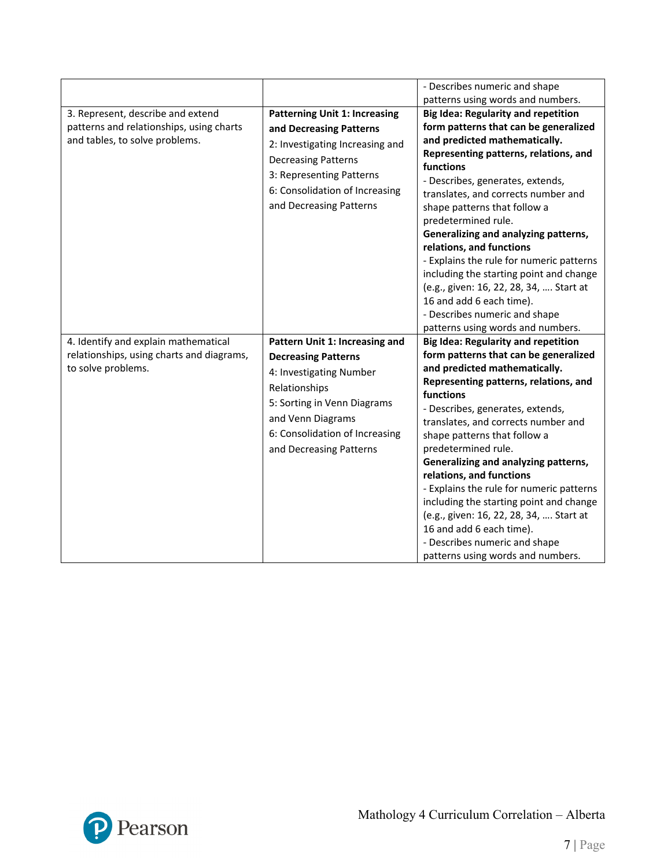|                                                                                                                 |                                                                                                                                                                                                                           | - Describes numeric and shape                                                                                                                                                                                                                                                                                                                                                                                                                                                                                                                                                                                                                                    |
|-----------------------------------------------------------------------------------------------------------------|---------------------------------------------------------------------------------------------------------------------------------------------------------------------------------------------------------------------------|------------------------------------------------------------------------------------------------------------------------------------------------------------------------------------------------------------------------------------------------------------------------------------------------------------------------------------------------------------------------------------------------------------------------------------------------------------------------------------------------------------------------------------------------------------------------------------------------------------------------------------------------------------------|
| 3. Represent, describe and extend<br>patterns and relationships, using charts<br>and tables, to solve problems. | <b>Patterning Unit 1: Increasing</b><br>and Decreasing Patterns<br>2: Investigating Increasing and<br><b>Decreasing Patterns</b><br>3: Representing Patterns<br>6: Consolidation of Increasing<br>and Decreasing Patterns | patterns using words and numbers.<br><b>Big Idea: Regularity and repetition</b><br>form patterns that can be generalized<br>and predicted mathematically.<br>Representing patterns, relations, and<br><b>functions</b><br>- Describes, generates, extends,<br>translates, and corrects number and<br>shape patterns that follow a<br>predetermined rule.<br>Generalizing and analyzing patterns,<br>relations, and functions<br>- Explains the rule for numeric patterns<br>including the starting point and change<br>(e.g., given: 16, 22, 28, 34,  Start at<br>16 and add 6 each time).<br>- Describes numeric and shape<br>patterns using words and numbers. |
| 4. Identify and explain mathematical<br>relationships, using charts and diagrams,<br>to solve problems.         | Pattern Unit 1: Increasing and<br><b>Decreasing Patterns</b><br>4: Investigating Number<br>Relationships<br>5: Sorting in Venn Diagrams<br>and Venn Diagrams<br>6: Consolidation of Increasing<br>and Decreasing Patterns | <b>Big Idea: Regularity and repetition</b><br>form patterns that can be generalized<br>and predicted mathematically.<br>Representing patterns, relations, and<br>functions<br>- Describes, generates, extends,<br>translates, and corrects number and<br>shape patterns that follow a<br>predetermined rule.<br>Generalizing and analyzing patterns,<br>relations, and functions<br>- Explains the rule for numeric patterns<br>including the starting point and change<br>(e.g., given: 16, 22, 28, 34,  Start at<br>16 and add 6 each time).<br>- Describes numeric and shape<br>patterns using words and numbers.                                             |

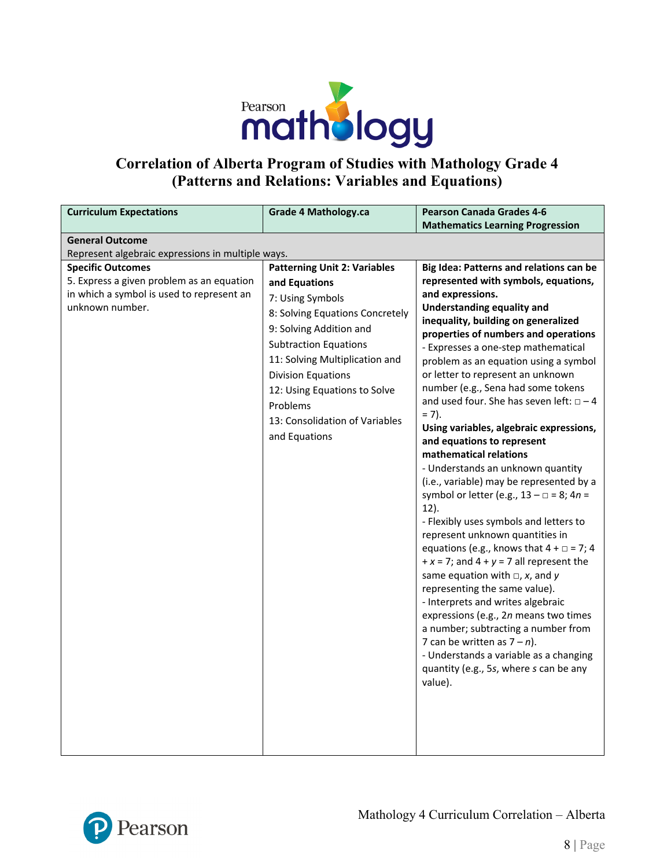

# **Correlation of Alberta Program of Studies with Mathology Grade 4 (Patterns and Relations: Variables and Equations)**

| <b>Curriculum Expectations</b>                    | <b>Grade 4 Mathology.ca</b>         | <b>Pearson Canada Grades 4-6</b>                                           |
|---------------------------------------------------|-------------------------------------|----------------------------------------------------------------------------|
|                                                   |                                     | <b>Mathematics Learning Progression</b>                                    |
| <b>General Outcome</b>                            |                                     |                                                                            |
| Represent algebraic expressions in multiple ways. |                                     |                                                                            |
| <b>Specific Outcomes</b>                          | <b>Patterning Unit 2: Variables</b> | Big Idea: Patterns and relations can be                                    |
| 5. Express a given problem as an equation         | and Equations                       | represented with symbols, equations,                                       |
| in which a symbol is used to represent an         | 7: Using Symbols                    | and expressions.                                                           |
| unknown number.                                   | 8: Solving Equations Concretely     | <b>Understanding equality and</b>                                          |
|                                                   | 9: Solving Addition and             | inequality, building on generalized                                        |
|                                                   | <b>Subtraction Equations</b>        | properties of numbers and operations                                       |
|                                                   | 11: Solving Multiplication and      | - Expresses a one-step mathematical                                        |
|                                                   | <b>Division Equations</b>           | problem as an equation using a symbol<br>or letter to represent an unknown |
|                                                   |                                     | number (e.g., Sena had some tokens                                         |
|                                                   | 12: Using Equations to Solve        | and used four. She has seven left: $\Box - 4$                              |
|                                                   | Problems                            | $= 7$ ).                                                                   |
|                                                   | 13: Consolidation of Variables      | Using variables, algebraic expressions,                                    |
|                                                   | and Equations                       | and equations to represent                                                 |
|                                                   |                                     | mathematical relations                                                     |
|                                                   |                                     | - Understands an unknown quantity                                          |
|                                                   |                                     | (i.e., variable) may be represented by a                                   |
|                                                   |                                     | symbol or letter (e.g., $13 - \square = 8$ ; $4n =$                        |
|                                                   |                                     | $12$ ).                                                                    |
|                                                   |                                     | - Flexibly uses symbols and letters to                                     |
|                                                   |                                     | represent unknown quantities in                                            |
|                                                   |                                     | equations (e.g., knows that $4 + \square = 7$ ; 4                          |
|                                                   |                                     | $+x = 7$ ; and $4 + y = 7$ all represent the                               |
|                                                   |                                     | same equation with $\Box$ , x, and y                                       |
|                                                   |                                     | representing the same value).                                              |
|                                                   |                                     | - Interprets and writes algebraic                                          |
|                                                   |                                     | expressions (e.g., 2n means two times                                      |
|                                                   |                                     | a number; subtracting a number from                                        |
|                                                   |                                     | 7 can be written as $7 - n$ ).                                             |
|                                                   |                                     | - Understands a variable as a changing                                     |
|                                                   |                                     | quantity (e.g., 5s, where s can be any<br>value).                          |
|                                                   |                                     |                                                                            |
|                                                   |                                     |                                                                            |
|                                                   |                                     |                                                                            |
|                                                   |                                     |                                                                            |
|                                                   |                                     |                                                                            |

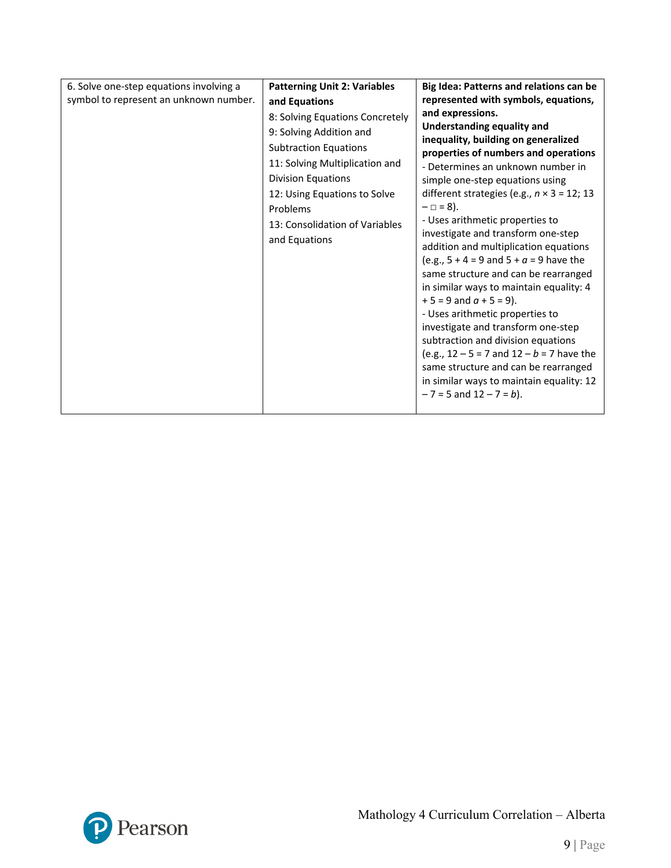| 6. Solve one-step equations involving a | <b>Patterning Unit 2: Variables</b>                                                                                                                                                                                                                                       | Big Idea: Patterns and relations can be                                                                                                                                                                                                                                                                                                                                                                                                                                                                                                                                                                                                                                                                                                                                                                                                                                                              |
|-----------------------------------------|---------------------------------------------------------------------------------------------------------------------------------------------------------------------------------------------------------------------------------------------------------------------------|------------------------------------------------------------------------------------------------------------------------------------------------------------------------------------------------------------------------------------------------------------------------------------------------------------------------------------------------------------------------------------------------------------------------------------------------------------------------------------------------------------------------------------------------------------------------------------------------------------------------------------------------------------------------------------------------------------------------------------------------------------------------------------------------------------------------------------------------------------------------------------------------------|
| symbol to represent an unknown number.  | and Equations<br>8: Solving Equations Concretely<br>9: Solving Addition and<br><b>Subtraction Equations</b><br>11: Solving Multiplication and<br><b>Division Equations</b><br>12: Using Equations to Solve<br>Problems<br>13: Consolidation of Variables<br>and Equations | represented with symbols, equations,<br>and expressions.<br><b>Understanding equality and</b><br>inequality, building on generalized<br>properties of numbers and operations<br>- Determines an unknown number in<br>simple one-step equations using<br>different strategies (e.g., $n \times 3 = 12$ ; 13<br>$- \Box = 8$ ).<br>- Uses arithmetic properties to<br>investigate and transform one-step<br>addition and multiplication equations<br>(e.g., $5 + 4 = 9$ and $5 + a = 9$ have the<br>same structure and can be rearranged<br>in similar ways to maintain equality: 4<br>$+5 = 9$ and $a + 5 = 9$ ).<br>- Uses arithmetic properties to<br>investigate and transform one-step<br>subtraction and division equations<br>(e.g., $12 - 5 = 7$ and $12 - b = 7$ have the<br>same structure and can be rearranged<br>in similar ways to maintain equality: 12<br>$-7 = 5$ and $12 - 7 = b$ ). |
|                                         |                                                                                                                                                                                                                                                                           |                                                                                                                                                                                                                                                                                                                                                                                                                                                                                                                                                                                                                                                                                                                                                                                                                                                                                                      |

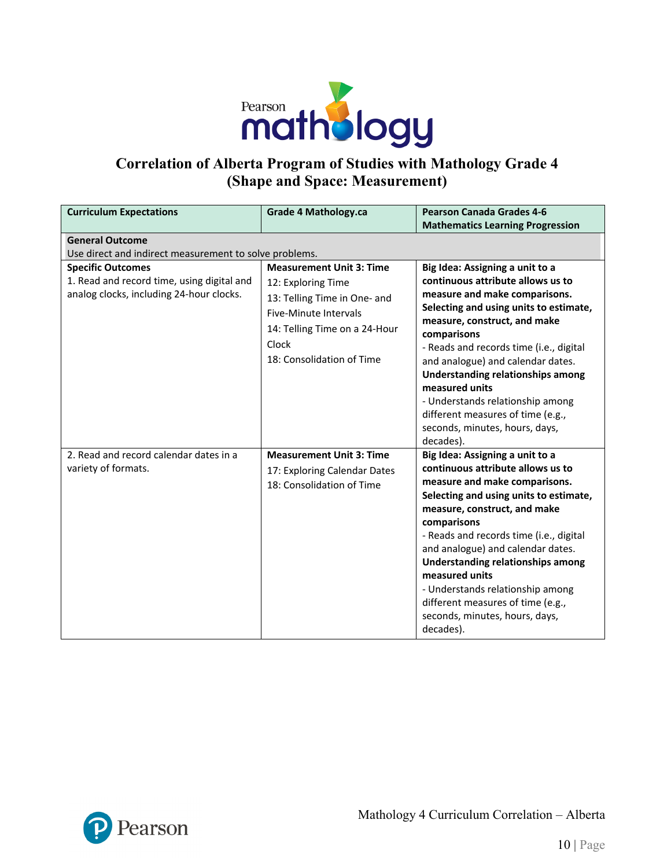

# **Correlation of Alberta Program of Studies with Mathology Grade 4 (Shape and Space: Measurement)**

| <b>Curriculum Expectations</b>                                                                                     | <b>Grade 4 Mathology.ca</b>                                                                                                                                                           | <b>Pearson Canada Grades 4-6</b><br><b>Mathematics Learning Progression</b>                                                                                                                                                                                                                                                                                                                                                                                   |  |  |
|--------------------------------------------------------------------------------------------------------------------|---------------------------------------------------------------------------------------------------------------------------------------------------------------------------------------|---------------------------------------------------------------------------------------------------------------------------------------------------------------------------------------------------------------------------------------------------------------------------------------------------------------------------------------------------------------------------------------------------------------------------------------------------------------|--|--|
| <b>General Outcome</b>                                                                                             |                                                                                                                                                                                       |                                                                                                                                                                                                                                                                                                                                                                                                                                                               |  |  |
| Use direct and indirect measurement to solve problems.                                                             |                                                                                                                                                                                       |                                                                                                                                                                                                                                                                                                                                                                                                                                                               |  |  |
| <b>Specific Outcomes</b><br>1. Read and record time, using digital and<br>analog clocks, including 24-hour clocks. | <b>Measurement Unit 3: Time</b><br>12: Exploring Time<br>13: Telling Time in One- and<br>Five-Minute Intervals<br>14: Telling Time on a 24-Hour<br>Clock<br>18: Consolidation of Time | Big Idea: Assigning a unit to a<br>continuous attribute allows us to<br>measure and make comparisons.<br>Selecting and using units to estimate,<br>measure, construct, and make<br>comparisons<br>- Reads and records time (i.e., digital<br>and analogue) and calendar dates.<br>Understanding relationships among<br>measured units<br>- Understands relationship among<br>different measures of time (e.g.,<br>seconds, minutes, hours, days,<br>decades). |  |  |
| 2. Read and record calendar dates in a<br>variety of formats.                                                      | <b>Measurement Unit 3: Time</b><br>17: Exploring Calendar Dates<br>18: Consolidation of Time                                                                                          | Big Idea: Assigning a unit to a<br>continuous attribute allows us to<br>measure and make comparisons.<br>Selecting and using units to estimate,<br>measure, construct, and make<br>comparisons<br>- Reads and records time (i.e., digital<br>and analogue) and calendar dates.<br>Understanding relationships among<br>measured units<br>- Understands relationship among<br>different measures of time (e.g.,<br>seconds, minutes, hours, days,<br>decades). |  |  |

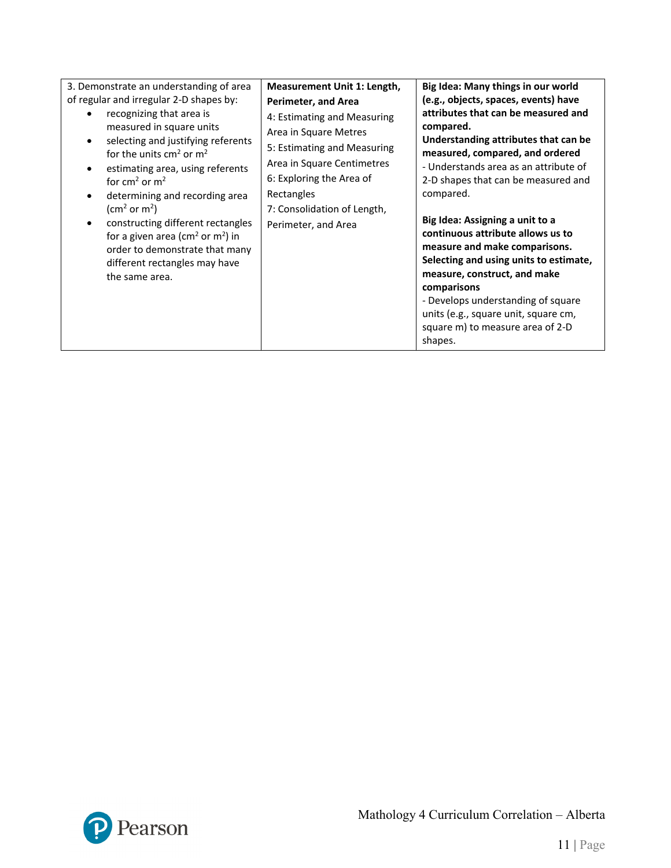| 3. Demonstrate an understanding of area<br>of regular and irregular 2-D shapes by:<br>recognizing that area is<br>measured in square units<br>selecting and justifying referents<br>for the units $cm2$ or $m2$<br>estimating area, using referents<br>for $cm2$ or $m2$<br>determining and recording area<br>(cm <sup>2</sup> or m <sup>2</sup> )<br>constructing different rectangles<br>for a given area ( $\text{cm}^2$ or $\text{m}^2$ ) in<br>order to demonstrate that many<br>different rectangles may have<br>the same area. | Measurement Unit 1: Length,<br>Perimeter, and Area<br>4: Estimating and Measuring<br>Area in Square Metres<br>5: Estimating and Measuring<br>Area in Square Centimetres<br>6: Exploring the Area of<br>Rectangles<br>7: Consolidation of Length,<br>Perimeter, and Area | Big Idea: Many things in our world<br>(e.g., objects, spaces, events) have<br>attributes that can be measured and<br>compared.<br>Understanding attributes that can be<br>measured, compared, and ordered<br>- Understands area as an attribute of<br>2-D shapes that can be measured and<br>compared.<br>Big Idea: Assigning a unit to a<br>continuous attribute allows us to<br>measure and make comparisons.<br>Selecting and using units to estimate,<br>measure, construct, and make<br>comparisons<br>- Develops understanding of square<br>units (e.g., square unit, square cm,<br>square m) to measure area of 2-D<br>shapes. |
|---------------------------------------------------------------------------------------------------------------------------------------------------------------------------------------------------------------------------------------------------------------------------------------------------------------------------------------------------------------------------------------------------------------------------------------------------------------------------------------------------------------------------------------|-------------------------------------------------------------------------------------------------------------------------------------------------------------------------------------------------------------------------------------------------------------------------|---------------------------------------------------------------------------------------------------------------------------------------------------------------------------------------------------------------------------------------------------------------------------------------------------------------------------------------------------------------------------------------------------------------------------------------------------------------------------------------------------------------------------------------------------------------------------------------------------------------------------------------|
|---------------------------------------------------------------------------------------------------------------------------------------------------------------------------------------------------------------------------------------------------------------------------------------------------------------------------------------------------------------------------------------------------------------------------------------------------------------------------------------------------------------------------------------|-------------------------------------------------------------------------------------------------------------------------------------------------------------------------------------------------------------------------------------------------------------------------|---------------------------------------------------------------------------------------------------------------------------------------------------------------------------------------------------------------------------------------------------------------------------------------------------------------------------------------------------------------------------------------------------------------------------------------------------------------------------------------------------------------------------------------------------------------------------------------------------------------------------------------|

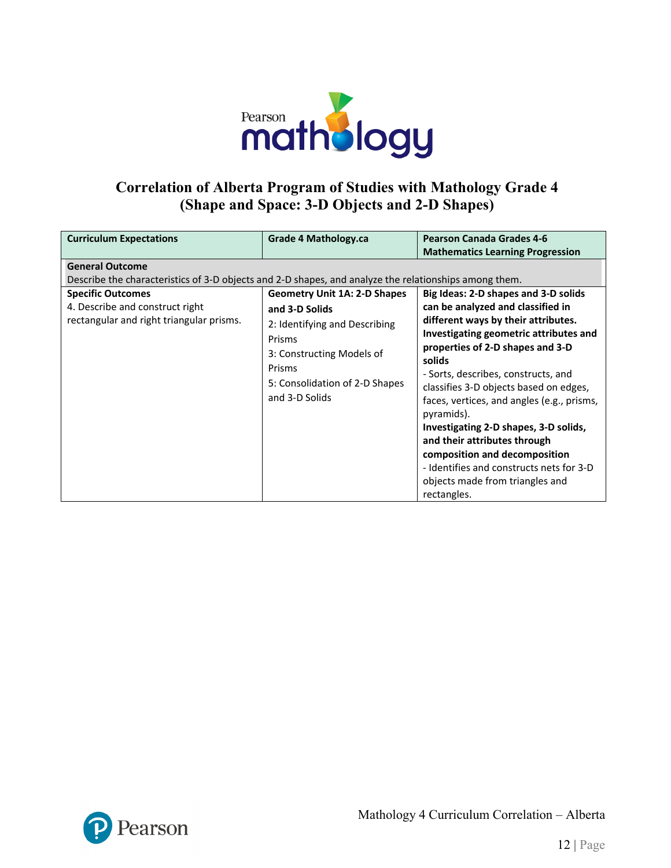

#### **Correlation of Alberta Program of Studies with Mathology Grade 4 (Shape and Space: 3-D Objects and 2-D Shapes)**

| <b>Curriculum Expectations</b><br><b>General Outcome</b>                                                                                                                                                         | Grade 4 Mathology.ca                                                                                                                                                                        | <b>Pearson Canada Grades 4-6</b><br><b>Mathematics Learning Progression</b>                                                                                                                                                                                                                                                                                                                                                                                                                                                                                   |
|------------------------------------------------------------------------------------------------------------------------------------------------------------------------------------------------------------------|---------------------------------------------------------------------------------------------------------------------------------------------------------------------------------------------|---------------------------------------------------------------------------------------------------------------------------------------------------------------------------------------------------------------------------------------------------------------------------------------------------------------------------------------------------------------------------------------------------------------------------------------------------------------------------------------------------------------------------------------------------------------|
| Describe the characteristics of 3-D objects and 2-D shapes, and analyze the relationships among them.<br><b>Specific Outcomes</b><br>4. Describe and construct right<br>rectangular and right triangular prisms. | <b>Geometry Unit 1A: 2-D Shapes</b><br>and 3-D Solids<br>2: Identifying and Describing<br>Prisms<br>3: Constructing Models of<br>Prisms<br>5: Consolidation of 2-D Shapes<br>and 3-D Solids | Big Ideas: 2-D shapes and 3-D solids<br>can be analyzed and classified in<br>different ways by their attributes.<br>Investigating geometric attributes and<br>properties of 2-D shapes and 3-D<br>solids<br>- Sorts, describes, constructs, and<br>classifies 3-D objects based on edges,<br>faces, vertices, and angles (e.g., prisms,<br>pyramids).<br>Investigating 2-D shapes, 3-D solids,<br>and their attributes through<br>composition and decomposition<br>- Identifies and constructs nets for 3-D<br>objects made from triangles and<br>rectangles. |

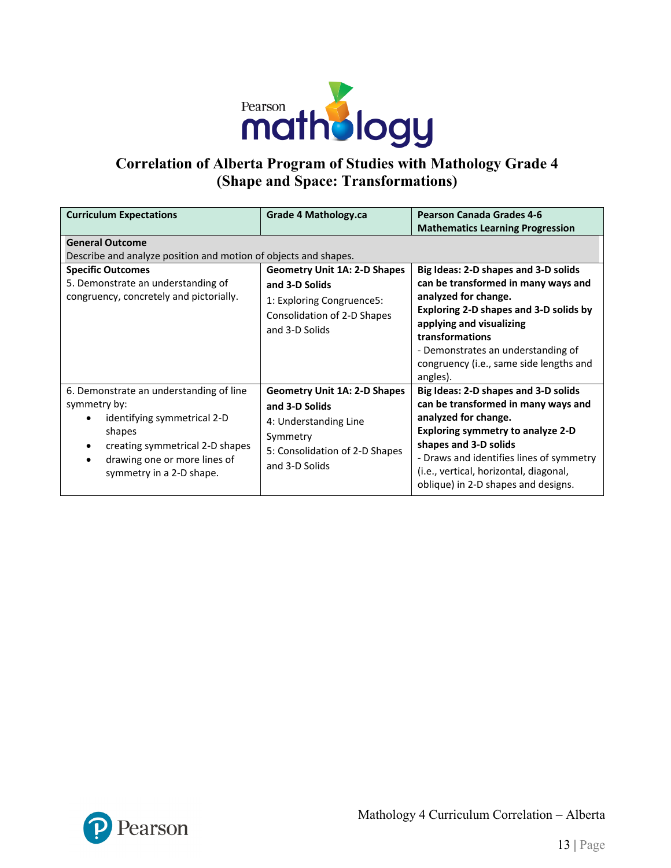

# **Correlation of Alberta Program of Studies with Mathology Grade 4 (Shape and Space: Transformations)**

| <b>Curriculum Expectations</b>                                                                                                                                                                            | <b>Grade 4 Mathology.ca</b>                                                                                                                    | <b>Pearson Canada Grades 4-6</b><br><b>Mathematics Learning Progression</b>                                                                                                                                                                                                                           |  |
|-----------------------------------------------------------------------------------------------------------------------------------------------------------------------------------------------------------|------------------------------------------------------------------------------------------------------------------------------------------------|-------------------------------------------------------------------------------------------------------------------------------------------------------------------------------------------------------------------------------------------------------------------------------------------------------|--|
| <b>General Outcome</b><br>Describe and analyze position and motion of objects and shapes.                                                                                                                 |                                                                                                                                                |                                                                                                                                                                                                                                                                                                       |  |
| <b>Specific Outcomes</b><br>5. Demonstrate an understanding of<br>congruency, concretely and pictorially.                                                                                                 | <b>Geometry Unit 1A: 2-D Shapes</b><br>and 3-D Solids<br>1: Exploring Congruence5:<br>Consolidation of 2-D Shapes<br>and 3-D Solids            | Big Ideas: 2-D shapes and 3-D solids<br>can be transformed in many ways and<br>analyzed for change.<br>Exploring 2-D shapes and 3-D solids by<br>applying and visualizing<br>transformations<br>- Demonstrates an understanding of<br>congruency (i.e., same side lengths and<br>angles).             |  |
| 6. Demonstrate an understanding of line<br>symmetry by:<br>identifying symmetrical 2-D<br>shapes<br>creating symmetrical 2-D shapes<br>٠<br>drawing one or more lines of<br>٠<br>symmetry in a 2-D shape. | <b>Geometry Unit 1A: 2-D Shapes</b><br>and 3-D Solids<br>4: Understanding Line<br>Symmetry<br>5: Consolidation of 2-D Shapes<br>and 3-D Solids | Big Ideas: 2-D shapes and 3-D solids<br>can be transformed in many ways and<br>analyzed for change.<br><b>Exploring symmetry to analyze 2-D</b><br>shapes and 3-D solids<br>- Draws and identifies lines of symmetry<br>(i.e., vertical, horizontal, diagonal,<br>oblique) in 2-D shapes and designs. |  |